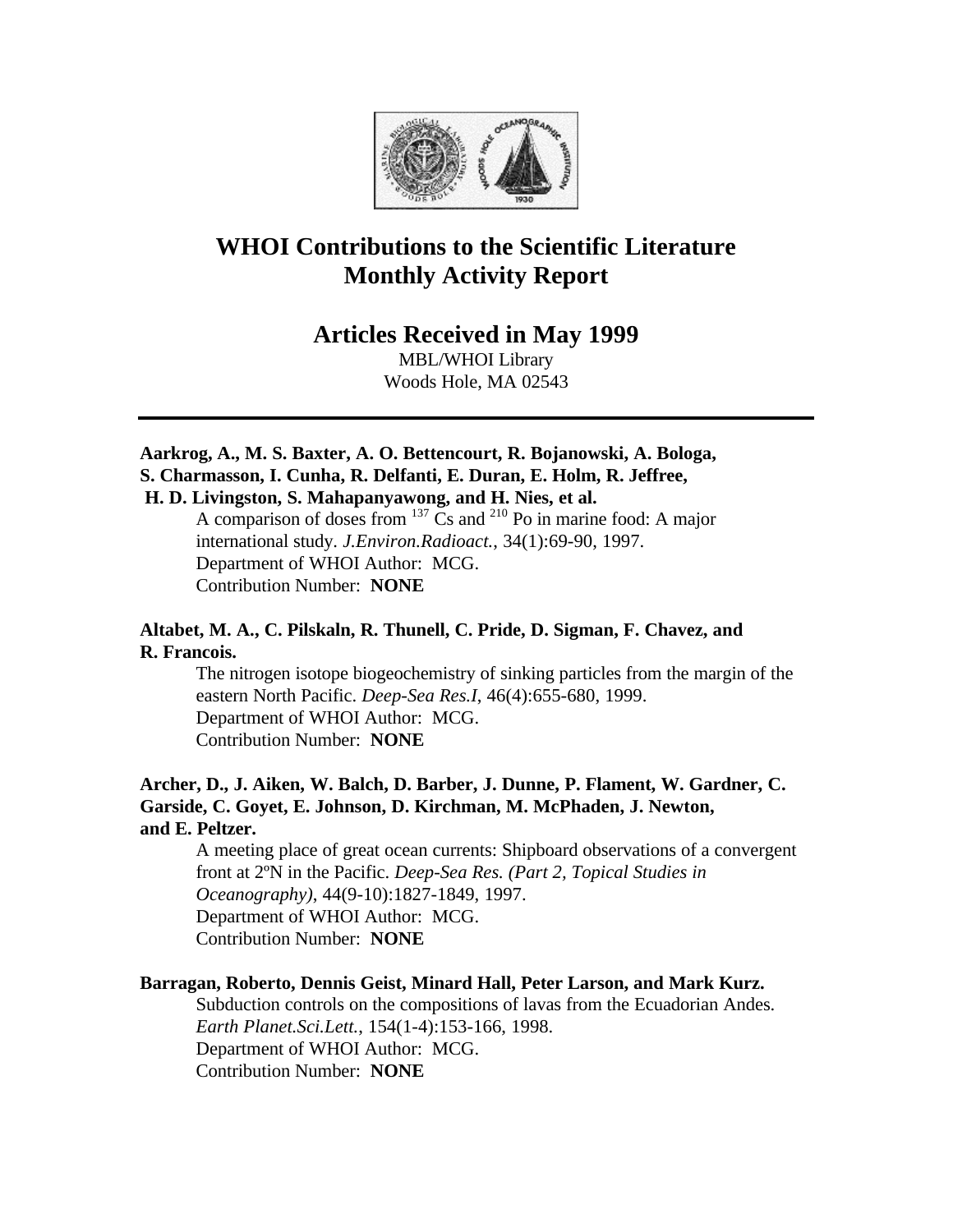

# **WHOI Contributions to the Scientific Literature Monthly Activity Report**

**Articles Received in May 1999**

MBL/WHOI Library Woods Hole, MA 02543

**Aarkrog, A., M. S. Baxter, A. O. Bettencourt, R. Bojanowski, A. Bologa, S. Charmasson, I. Cunha, R. Delfanti, E. Duran, E. Holm, R. Jeffree, H. D. Livingston, S. Mahapanyawong, and H. Nies, et al.**

A comparison of doses from  $137$  Cs and  $210$  Po in marine food: A major international study. *J.Environ.Radioact.*, 34(1):69-90, 1997. Department of WHOI Author: MCG. Contribution Number: **NONE**

# **Altabet, M. A., C. Pilskaln, R. Thunell, C. Pride, D. Sigman, F. Chavez, and R. Francois.**

The nitrogen isotope biogeochemistry of sinking particles from the margin of the eastern North Pacific. *Deep-Sea Res.I*, 46(4):655-680, 1999. Department of WHOI Author: MCG. Contribution Number: **NONE**

# **Archer, D., J. Aiken, W. Balch, D. Barber, J. Dunne, P. Flament, W. Gardner, C. Garside, C. Goyet, E. Johnson, D. Kirchman, M. McPhaden, J. Newton, and E. Peltzer.**

A meeting place of great ocean currents: Shipboard observations of a convergent front at 2ºN in the Pacific. *Deep-Sea Res. (Part 2, Topical Studies in Oceanography)*, 44(9-10):1827-1849, 1997. Department of WHOI Author: MCG. Contribution Number: **NONE**

## **Barragan, Roberto, Dennis Geist, Minard Hall, Peter Larson, and Mark Kurz.**

Subduction controls on the compositions of lavas from the Ecuadorian Andes. *Earth Planet.Sci.Lett.*, 154(1-4):153-166, 1998. Department of WHOI Author: MCG. Contribution Number: **NONE**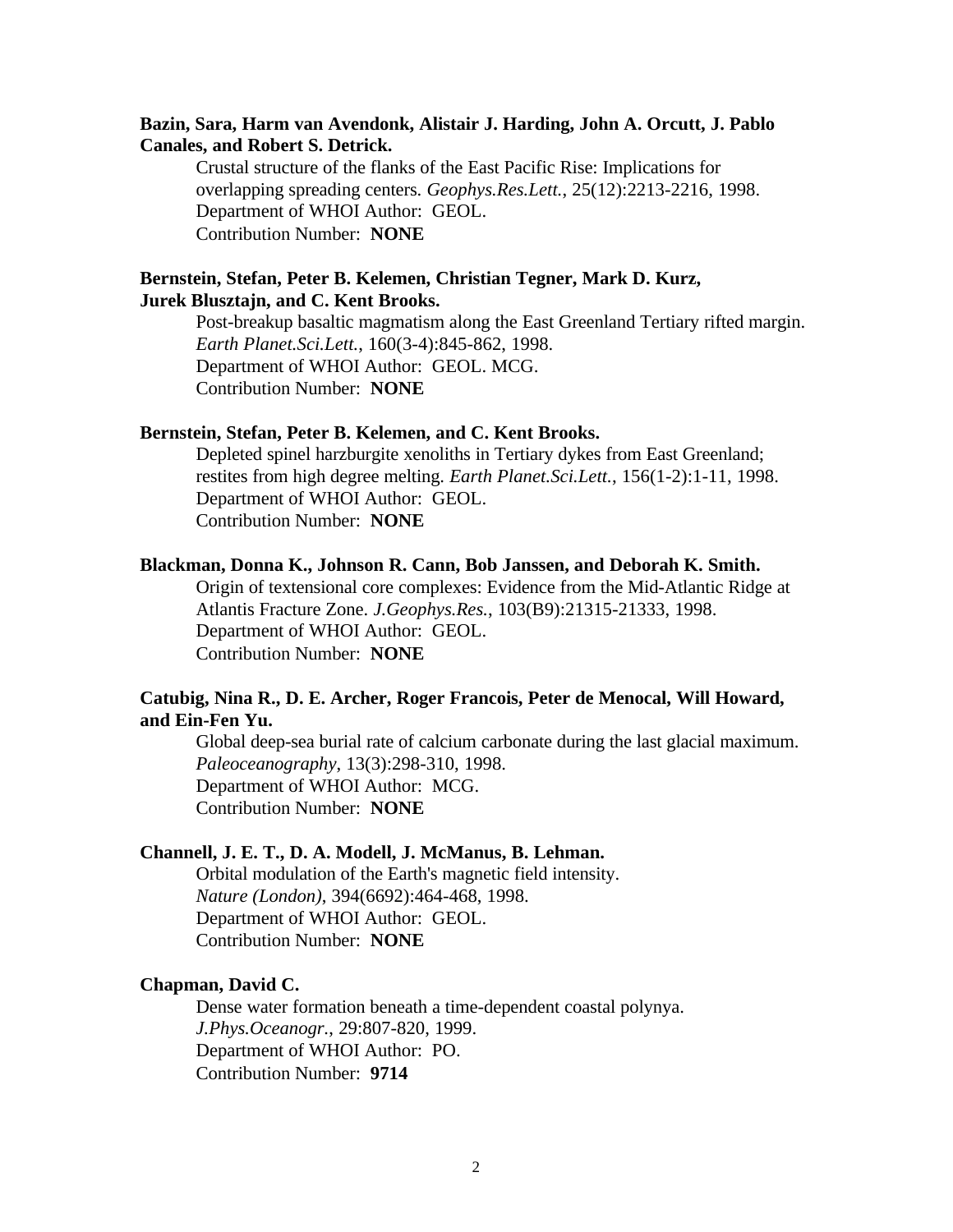### **Bazin, Sara, Harm van Avendonk, Alistair J. Harding, John A. Orcutt, J. Pablo Canales, and Robert S. Detrick.**

Crustal structure of the flanks of the East Pacific Rise: Implications for overlapping spreading centers. *Geophys.Res.Lett.*, 25(12):2213-2216, 1998. Department of WHOI Author: GEOL. Contribution Number: **NONE**

### **Bernstein, Stefan, Peter B. Kelemen, Christian Tegner, Mark D. Kurz, Jurek Blusztajn, and C. Kent Brooks.**

Post-breakup basaltic magmatism along the East Greenland Tertiary rifted margin. *Earth Planet.Sci.Lett.*, 160(3-4):845-862, 1998. Department of WHOI Author: GEOL. MCG. Contribution Number: **NONE**

### **Bernstein, Stefan, Peter B. Kelemen, and C. Kent Brooks.**

Depleted spinel harzburgite xenoliths in Tertiary dykes from East Greenland; restites from high degree melting. *Earth Planet.Sci.Lett.*, 156(1-2):1-11, 1998. Department of WHOI Author: GEOL. Contribution Number: **NONE**

### **Blackman, Donna K., Johnson R. Cann, Bob Janssen, and Deborah K. Smith.**

Origin of textensional core complexes: Evidence from the Mid-Atlantic Ridge at Atlantis Fracture Zone. *J.Geophys.Res.*, 103(B9):21315-21333, 1998. Department of WHOI Author: GEOL. Contribution Number: **NONE**

### **Catubig, Nina R., D. E. Archer, Roger Francois, Peter de Menocal, Will Howard, and Ein-Fen Yu.**

Global deep-sea burial rate of calcium carbonate during the last glacial maximum. *Paleoceanography*, 13(3):298-310, 1998. Department of WHOI Author: MCG. Contribution Number: **NONE**

### **Channell, J. E. T., D. A. Modell, J. McManus, B. Lehman.**

Orbital modulation of the Earth's magnetic field intensity. *Nature (London)*, 394(6692):464-468, 1998. Department of WHOI Author: GEOL. Contribution Number: **NONE**

#### **Chapman, David C.**

Dense water formation beneath a time-dependent coastal polynya. *J.Phys.Oceanogr.*, 29:807-820, 1999. Department of WHOI Author: PO. Contribution Number: **9714**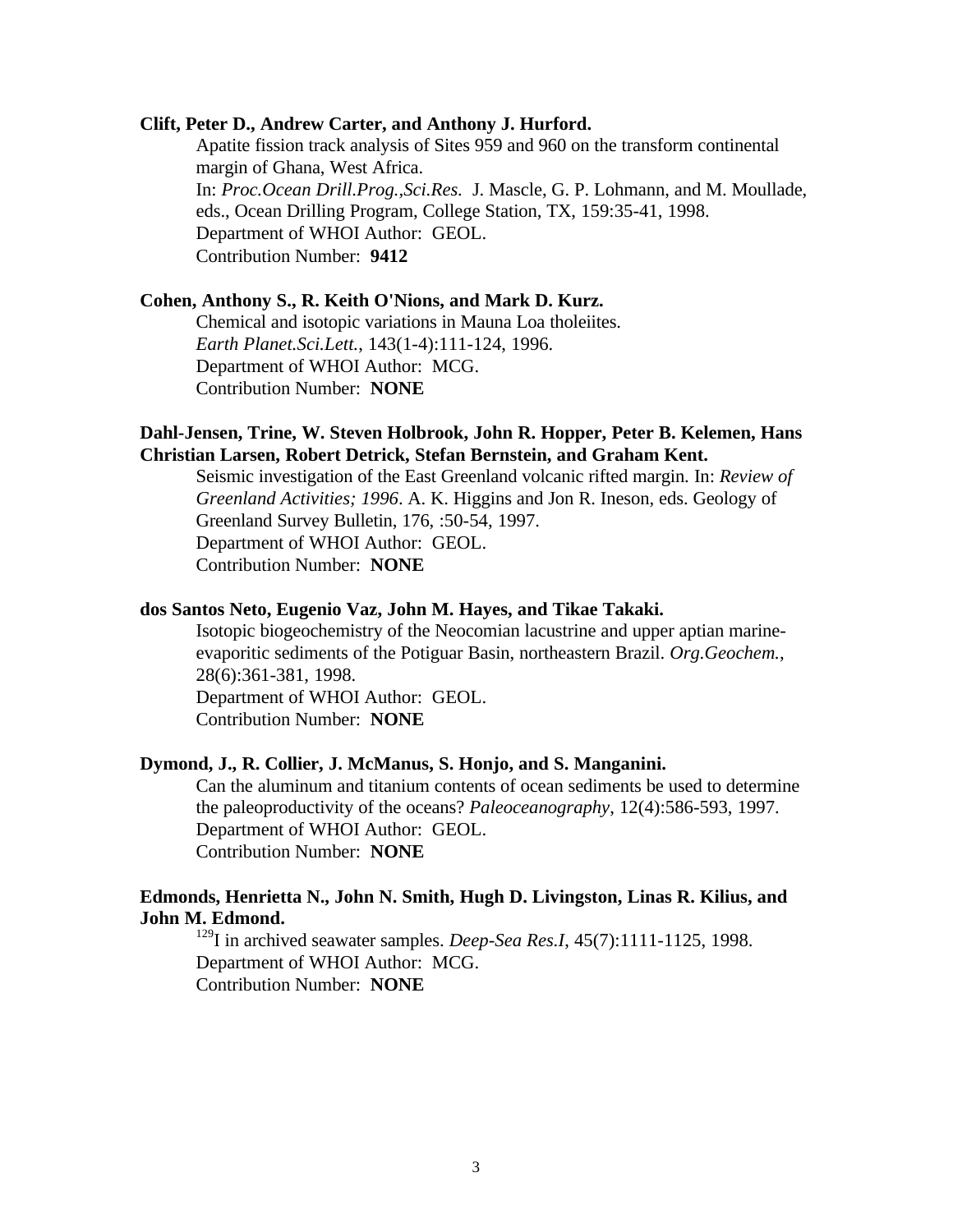### **Clift, Peter D., Andrew Carter, and Anthony J. Hurford.**

Apatite fission track analysis of Sites 959 and 960 on the transform continental margin of Ghana, West Africa. In: *Proc.Ocean Drill.Prog.,Sci.Res.* J. Mascle, G. P. Lohmann, and M. Moullade, eds., Ocean Drilling Program, College Station, TX, 159:35-41, 1998. Department of WHOI Author: GEOL. Contribution Number: **9412**

# **Cohen, Anthony S., R. Keith O'Nions, and Mark D. Kurz.**

Chemical and isotopic variations in Mauna Loa tholeiites. *Earth Planet.Sci.Lett.*, 143(1-4):111-124, 1996. Department of WHOI Author: MCG. Contribution Number: **NONE**

### **Dahl-Jensen, Trine, W. Steven Holbrook, John R. Hopper, Peter B. Kelemen, Hans Christian Larsen, Robert Detrick, Stefan Bernstein, and Graham Kent.**

Seismic investigation of the East Greenland volcanic rifted margin. In: *Review of Greenland Activities; 1996*. A. K. Higgins and Jon R. Ineson, eds. Geology of Greenland Survey Bulletin, 176, :50-54, 1997. Department of WHOI Author: GEOL. Contribution Number: **NONE**

### **dos Santos Neto, Eugenio Vaz, John M. Hayes, and Tikae Takaki.**

Isotopic biogeochemistry of the Neocomian lacustrine and upper aptian marineevaporitic sediments of the Potiguar Basin, northeastern Brazil. *Org.Geochem.*, 28(6):361-381, 1998. Department of WHOI Author: GEOL.

Contribution Number: **NONE**

### **Dymond, J., R. Collier, J. McManus, S. Honjo, and S. Manganini.**

Can the aluminum and titanium contents of ocean sediments be used to determine the paleoproductivity of the oceans? *Paleoceanography*, 12(4):586-593, 1997. Department of WHOI Author: GEOL. Contribution Number: **NONE**

### **Edmonds, Henrietta N., John N. Smith, Hugh D. Livingston, Linas R. Kilius, and John M. Edmond.**

<sup>129</sup>I in archived seawater samples. *Deep-Sea Res.I*, 45(7):1111-1125, 1998. Department of WHOI Author: MCG. Contribution Number: **NONE**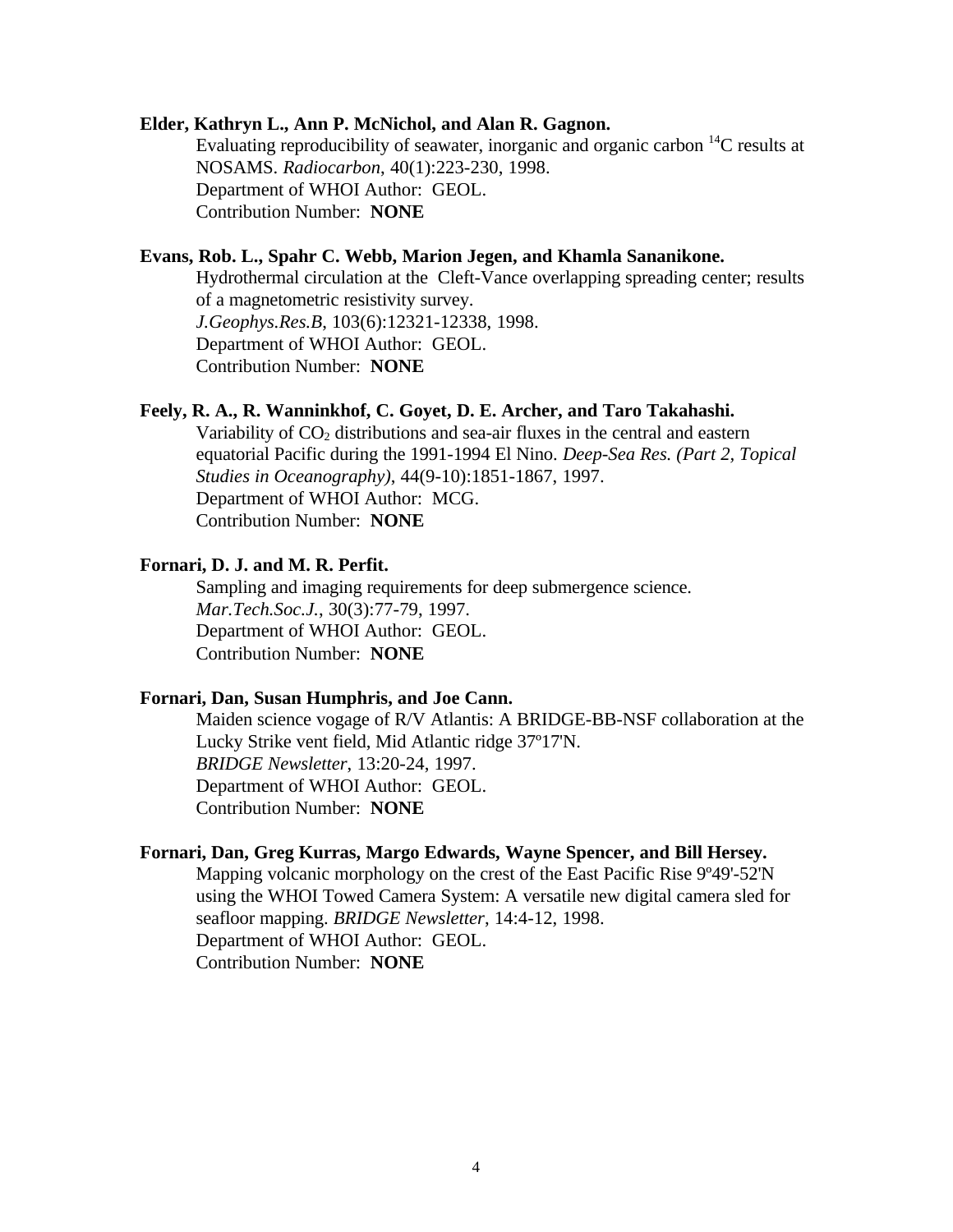#### **Elder, Kathryn L., Ann P. McNichol, and Alan R. Gagnon.**

Evaluating reproducibility of seawater, inorganic and organic carbon  ${}^{14}C$  results at NOSAMS. *Radiocarbon*, 40(1):223-230, 1998. Department of WHOI Author: GEOL. Contribution Number: **NONE**

# **Evans, Rob. L., Spahr C. Webb, Marion Jegen, and Khamla Sananikone.**

Hydrothermal circulation at the Cleft-Vance overlapping spreading center; results of a magnetometric resistivity survey. *J.Geophys.Res.B*, 103(6):12321-12338, 1998. Department of WHOI Author: GEOL. Contribution Number: **NONE**

### **Feely, R. A., R. Wanninkhof, C. Goyet, D. E. Archer, and Taro Takahashi.**

Variability of  $CO<sub>2</sub>$  distributions and sea-air fluxes in the central and eastern equatorial Pacific during the 1991-1994 El Nino. *Deep-Sea Res. (Part 2, Topical Studies in Oceanography)*, 44(9-10):1851-1867, 1997. Department of WHOI Author: MCG. Contribution Number: **NONE**

# **Fornari, D. J. and M. R. Perfit.**

Sampling and imaging requirements for deep submergence science. *Mar.Tech.Soc.J.*, 30(3):77-79, 1997. Department of WHOI Author: GEOL. Contribution Number: **NONE**

### **Fornari, Dan, Susan Humphris, and Joe Cann.**

Maiden science vogage of R/V Atlantis: A BRIDGE-BB-NSF collaboration at the Lucky Strike vent field, Mid Atlantic ridge 37º17'N. *BRIDGE Newsletter*, 13:20-24, 1997. Department of WHOI Author: GEOL. Contribution Number: **NONE**

#### **Fornari, Dan, Greg Kurras, Margo Edwards, Wayne Spencer, and Bill Hersey.**

Mapping volcanic morphology on the crest of the East Pacific Rise 9º49'-52'N using the WHOI Towed Camera System: A versatile new digital camera sled for seafloor mapping. *BRIDGE Newsletter*, 14:4-12, 1998. Department of WHOI Author: GEOL. Contribution Number: **NONE**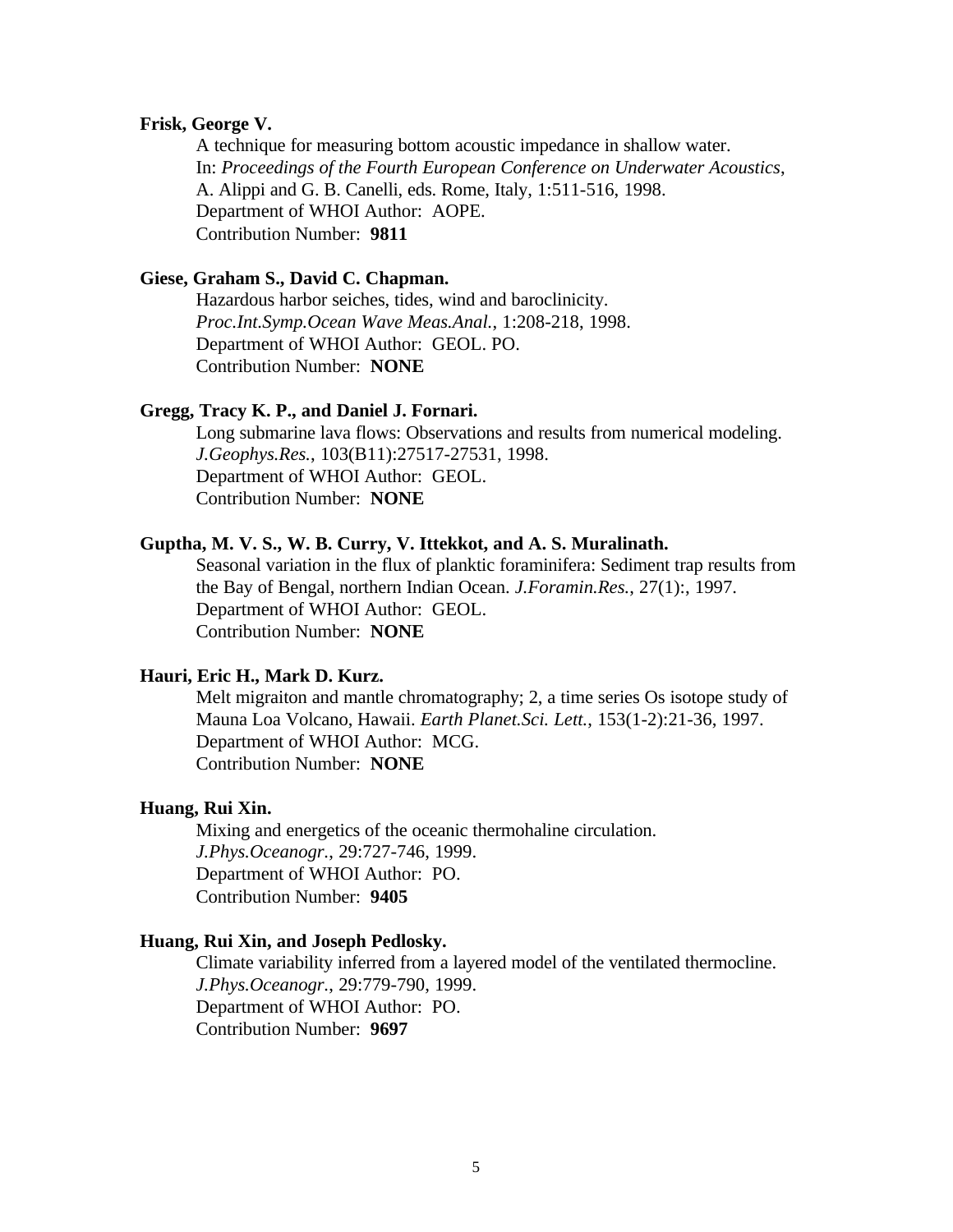### **Frisk, George V.**

A technique for measuring bottom acoustic impedance in shallow water. In: *Proceedings of the Fourth European Conference on Underwater Acoustics*, A. Alippi and G. B. Canelli, eds. Rome, Italy, 1:511-516, 1998. Department of WHOI Author: AOPE. Contribution Number: **9811**

### **Giese, Graham S., David C. Chapman.**

Hazardous harbor seiches, tides, wind and baroclinicity. *Proc.Int.Symp.Ocean Wave Meas.Anal.*, 1:208-218, 1998. Department of WHOI Author: GEOL. PO. Contribution Number: **NONE**

### **Gregg, Tracy K. P., and Daniel J. Fornari.**

Long submarine lava flows: Observations and results from numerical modeling. *J.Geophys.Res.*, 103(B11):27517-27531, 1998. Department of WHOI Author: GEOL. Contribution Number: **NONE**

### **Guptha, M. V. S., W. B. Curry, V. Ittekkot, and A. S. Muralinath.**

Seasonal variation in the flux of planktic foraminifera: Sediment trap results from the Bay of Bengal, northern Indian Ocean. *J.Foramin.Res.*, 27(1):, 1997. Department of WHOI Author: GEOL. Contribution Number: **NONE**

### **Hauri, Eric H., Mark D. Kurz.**

Melt migraiton and mantle chromatography; 2, a time series Os isotope study of Mauna Loa Volcano, Hawaii. *Earth Planet.Sci. Lett.*, 153(1-2):21-36, 1997. Department of WHOI Author: MCG. Contribution Number: **NONE**

### **Huang, Rui Xin.**

Mixing and energetics of the oceanic thermohaline circulation. *J.Phys.Oceanogr.*, 29:727-746, 1999. Department of WHOI Author: PO. Contribution Number: **9405**

#### **Huang, Rui Xin, and Joseph Pedlosky.**

Climate variability inferred from a layered model of the ventilated thermocline. *J.Phys.Oceanogr.*, 29:779-790, 1999. Department of WHOI Author: PO. Contribution Number: **9697**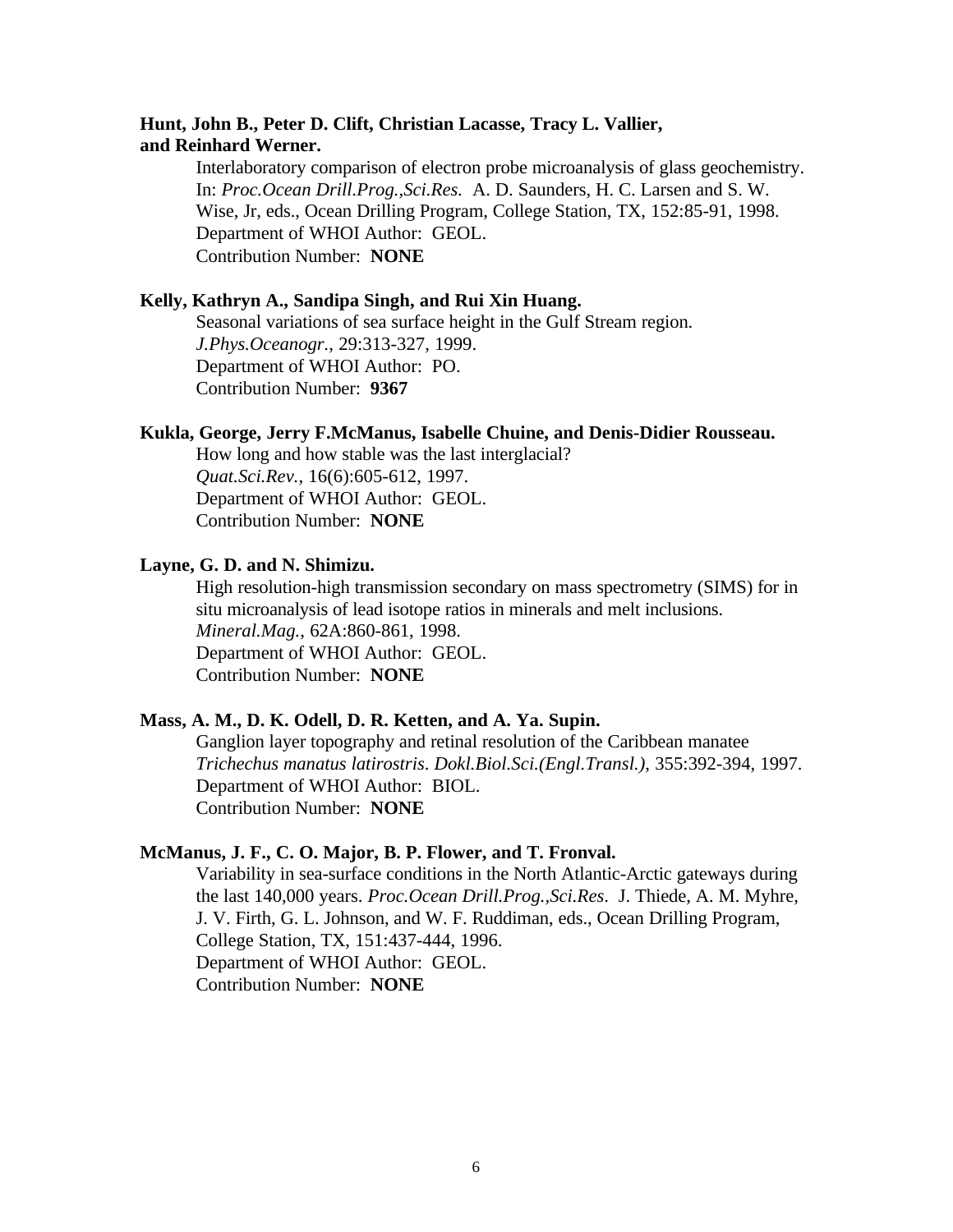# **Hunt, John B., Peter D. Clift, Christian Lacasse, Tracy L. Vallier, and Reinhard Werner.**

Interlaboratory comparison of electron probe microanalysis of glass geochemistry. In: *Proc.Ocean Drill.Prog.,Sci.Res.* A. D. Saunders, H. C. Larsen and S. W. Wise, Jr, eds., Ocean Drilling Program, College Station, TX, 152:85-91, 1998. Department of WHOI Author: GEOL. Contribution Number: **NONE**

# **Kelly, Kathryn A., Sandipa Singh, and Rui Xin Huang.**

Seasonal variations of sea surface height in the Gulf Stream region. *J.Phys.Oceanogr.*, 29:313-327, 1999. Department of WHOI Author: PO. Contribution Number: **9367**

### **Kukla, George, Jerry F.McManus, Isabelle Chuine, and Denis-Didier Rousseau.**

How long and how stable was the last interglacial? *Quat.Sci.Rev.*, 16(6):605-612, 1997. Department of WHOI Author: GEOL. Contribution Number: **NONE**

### **Layne, G. D. and N. Shimizu.**

High resolution-high transmission secondary on mass spectrometry (SIMS) for in situ microanalysis of lead isotope ratios in minerals and melt inclusions. *Mineral.Mag.*, 62A:860-861, 1998. Department of WHOI Author: GEOL. Contribution Number: **NONE**

### **Mass, A. M., D. K. Odell, D. R. Ketten, and A. Ya. Supin.**

Ganglion layer topography and retinal resolution of the Caribbean manatee *Trichechus manatus latirostris*. *Dokl.Biol.Sci.(Engl.Transl.)*, 355:392-394, 1997. Department of WHOI Author: BIOL. Contribution Number: **NONE**

### **McManus, J. F., C. O. Major, B. P. Flower, and T. Fronval.**

Variability in sea-surface conditions in the North Atlantic-Arctic gateways during the last 140,000 years. *Proc.Ocean Drill.Prog.,Sci.Res*. J. Thiede, A. M. Myhre, J. V. Firth, G. L. Johnson, and W. F. Ruddiman, eds., Ocean Drilling Program, College Station, TX, 151:437-444, 1996. Department of WHOI Author: GEOL. Contribution Number: **NONE**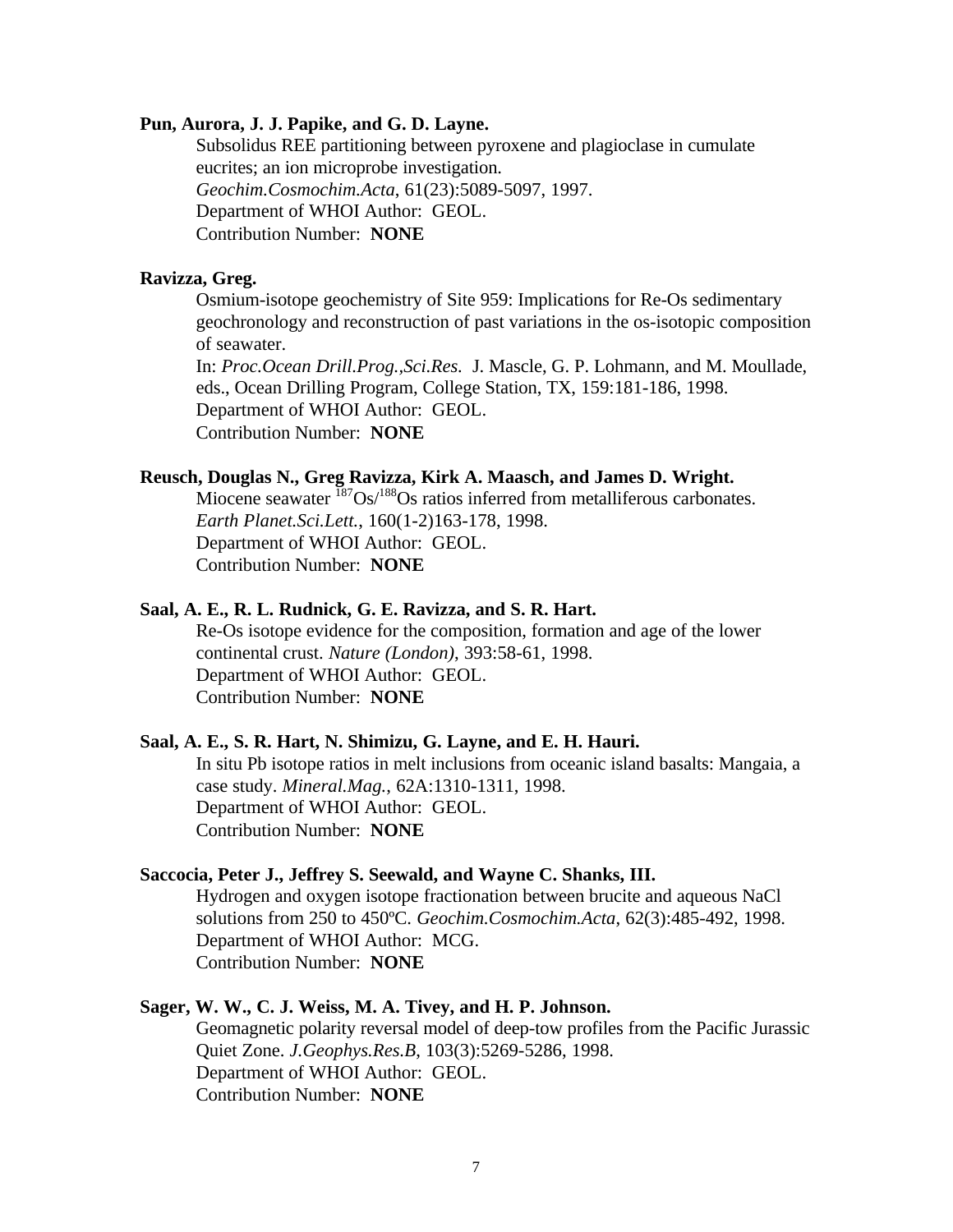### **Pun, Aurora, J. J. Papike, and G. D. Layne.**

Subsolidus REE partitioning between pyroxene and plagioclase in cumulate eucrites; an ion microprobe investigation. *Geochim.Cosmochim.Acta*, 61(23):5089-5097, 1997. Department of WHOI Author: GEOL. Contribution Number: **NONE**

### **Ravizza, Greg.**

Osmium-isotope geochemistry of Site 959: Implications for Re-Os sedimentary geochronology and reconstruction of past variations in the os-isotopic composition of seawater.

In: *Proc.Ocean Drill.Prog.,Sci.Res.* J. Mascle, G. P. Lohmann, and M. Moullade, eds., Ocean Drilling Program, College Station, TX, 159:181-186, 1998. Department of WHOI Author: GEOL. Contribution Number: **NONE**

### **Reusch, Douglas N., Greg Ravizza, Kirk A. Maasch, and James D. Wright.**

Miocene seawater  $187Os/188Os$  ratios inferred from metalliferous carbonates. *Earth Planet.Sci.Lett.*, 160(1-2)163-178, 1998. Department of WHOI Author: GEOL. Contribution Number: **NONE**

# **Saal, A. E., R. L. Rudnick, G. E. Ravizza, and S. R. Hart.**

Re-Os isotope evidence for the composition, formation and age of the lower continental crust. *Nature (London)*, 393:58-61, 1998. Department of WHOI Author: GEOL. Contribution Number: **NONE**

#### **Saal, A. E., S. R. Hart, N. Shimizu, G. Layne, and E. H. Hauri.**

In situ Pb isotope ratios in melt inclusions from oceanic island basalts: Mangaia, a case study. *Mineral.Mag.*, 62A:1310-1311, 1998. Department of WHOI Author: GEOL. Contribution Number: **NONE**

#### **Saccocia, Peter J., Jeffrey S. Seewald, and Wayne C. Shanks, III.**

Hydrogen and oxygen isotope fractionation between brucite and aqueous NaCl solutions from 250 to 450ºC. *Geochim.Cosmochim.Acta*, 62(3):485-492, 1998. Department of WHOI Author: MCG. Contribution Number: **NONE**

#### **Sager, W. W., C. J. Weiss, M. A. Tivey, and H. P. Johnson.**

Geomagnetic polarity reversal model of deep-tow profiles from the Pacific Jurassic Quiet Zone. *J.Geophys.Res.B*, 103(3):5269-5286, 1998. Department of WHOI Author: GEOL. Contribution Number: **NONE**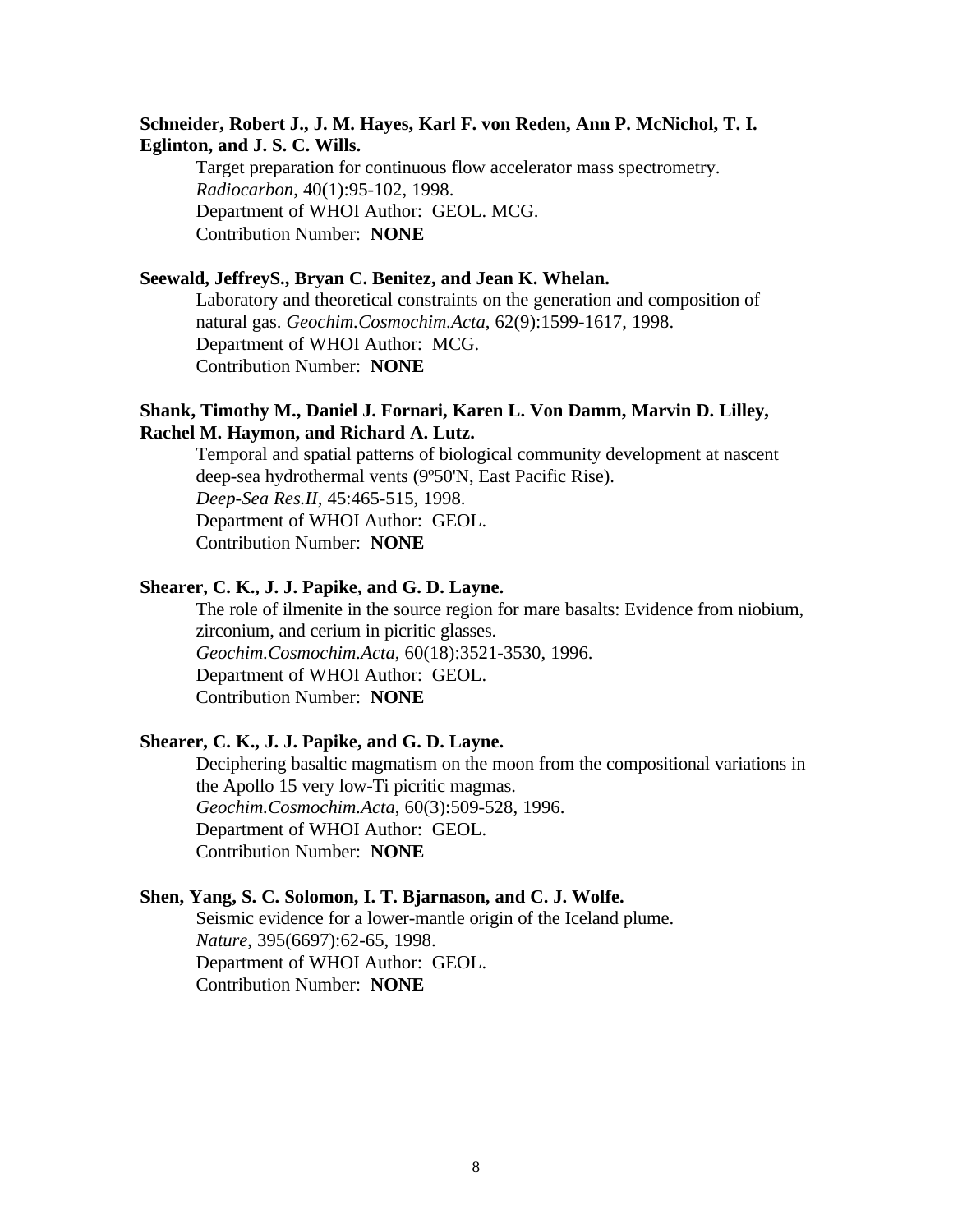# **Schneider, Robert J., J. M. Hayes, Karl F. von Reden, Ann P. McNichol, T. I. Eglinton, and J. S. C. Wills.**

Target preparation for continuous flow accelerator mass spectrometry. *Radiocarbon*, 40(1):95-102, 1998. Department of WHOI Author: GEOL. MCG. Contribution Number: **NONE**

### **Seewald, JeffreyS., Bryan C. Benitez, and Jean K. Whelan.**

Laboratory and theoretical constraints on the generation and composition of natural gas. *Geochim.Cosmochim.Acta*, 62(9):1599-1617, 1998. Department of WHOI Author: MCG. Contribution Number: **NONE**

# **Shank, Timothy M., Daniel J. Fornari, Karen L. Von Damm, Marvin D. Lilley, Rachel M. Haymon, and Richard A. Lutz.**

Temporal and spatial patterns of biological community development at nascent deep-sea hydrothermal vents (9º50'N, East Pacific Rise). *Deep-Sea Res.II*, 45:465-515, 1998. Department of WHOI Author: GEOL. Contribution Number: **NONE**

### **Shearer, C. K., J. J. Papike, and G. D. Layne.**

The role of ilmenite in the source region for mare basalts: Evidence from niobium, zirconium, and cerium in picritic glasses. *Geochim.Cosmochim.Acta*, 60(18):3521-3530, 1996. Department of WHOI Author: GEOL. Contribution Number: **NONE**

### **Shearer, C. K., J. J. Papike, and G. D. Layne.**

Deciphering basaltic magmatism on the moon from the compositional variations in the Apollo 15 very low-Ti picritic magmas. *Geochim.Cosmochim.Acta*, 60(3):509-528, 1996. Department of WHOI Author: GEOL. Contribution Number: **NONE**

### **Shen, Yang, S. C. Solomon, I. T. Bjarnason, and C. J. Wolfe.**

Seismic evidence for a lower-mantle origin of the Iceland plume. *Nature*, 395(6697):62-65, 1998. Department of WHOI Author: GEOL. Contribution Number: **NONE**